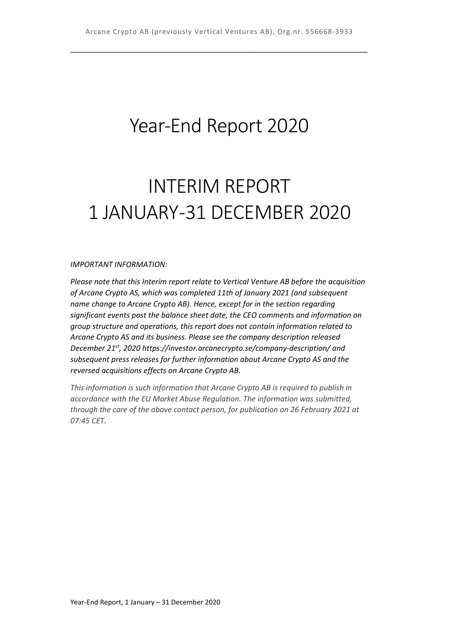## Year-End Report 2020

# INTERIM REPORT 1 JANUARY -31 DECEMBER 2020

#### *IMPORTANT INFORMATION:*

*Please note that this Interim report relate to Vertical Venture AB before the acquisition of Arcane Crypto AS, which was completed 11th of January 2021 (and subsequent name change to Arcane Crypto AB). Hence, except for in the section regarding significant events post the balance sheet date, the CEO comments and information on group structure and operations, this report does not contain information related to Arcane Crypto AS and its business. Please see the company description released December 21st, 2020 https://investor.arcanecrypto.se/company-description/ and subsequent press releases for further information about Arcane Crypto AS and the reversed acquisitions effects on Arcane Crypto AB.*

*This information is such information that Arcane Crypto AB is required to publish in accordance with the EU Market Abuse Regulation. The information was submitted, through the care of the above contact person, for publication on 26 February 2021 at 07:45 CET*.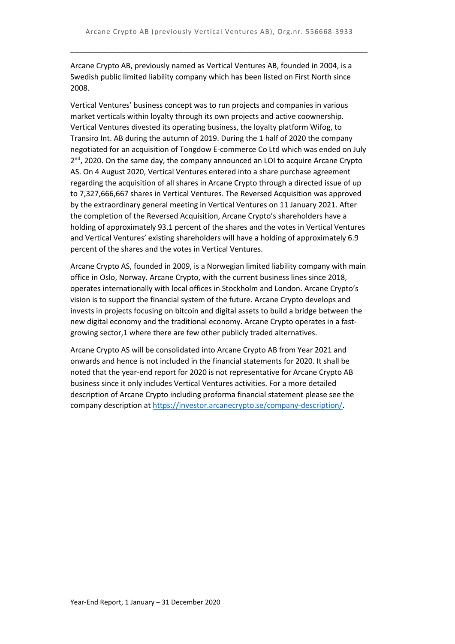Arcane Crypto AB, previously named as Vertical Ventures AB, founded in 2004, is a Swedish public limited liability company which has been listed on First North since 2008.

Vertical Ventures' business concept was to run projects and companies in various market verticals within loyalty through its own projects and active coownership. Vertical Ventures divested its operating business, the loyalty platform Wifog, to Transiro Int. AB during the autumn of 2019. During the 1 half of 2020 the company negotiated for an acquisition of Tongdow E-commerce Co Ltd which was ended on July  $2<sup>nd</sup>$ , 2020. On the same day, the company announced an LOI to acquire Arcane Crypto AS. On 4 August 2020, Vertical Ventures entered into a share purchase agreement regarding the acquisition of all shares in Arcane Crypto through a directed issue of up to 7,327,666,667 shares in Vertical Ventures. The Reversed Acquisition was approved by the extraordinary general meeting in Vertical Ventures on 11 January 2021. After the completion of the Reversed Acquisition, Arcane Crypto's shareholders have a holding of approximately 93.1 percent of the shares and the votes in Vertical Ventures and Vertical Ventures' existing shareholders will have a holding of approximately 6.9 percent of the shares and the votes in Vertical Ventures.

Arcane Crypto AS, founded in 2009, is a Norwegian limited liability company with main office in Oslo, Norway. Arcane Crypto, with the current business lines since 2018, operates internationally with local offices in Stockholm and London. Arcane Crypto's vision is to support the financial system of the future. Arcane Crypto develops and invests in projects focusing on bitcoin and digital assets to build a bridge between the new digital economy and the traditional economy. Arcane Crypto operates in a fastgrowing sector,1 where there are few other publicly traded alternatives.

Arcane Crypto AS will be consolidated into Arcane Crypto AB from Year 2021 and onwards and hence is not included in the financial statements for 2020. It shall be noted that the year-end report for 2020 is not representative for Arcane Crypto AB business since it only includes Vertical Ventures activities. For a more detailed description of Arcane Crypto including proforma financial statement please see the company description a[t https://investor.arcanecrypto.se/company-description/.](https://investor.arcanecrypto.se/company-description/)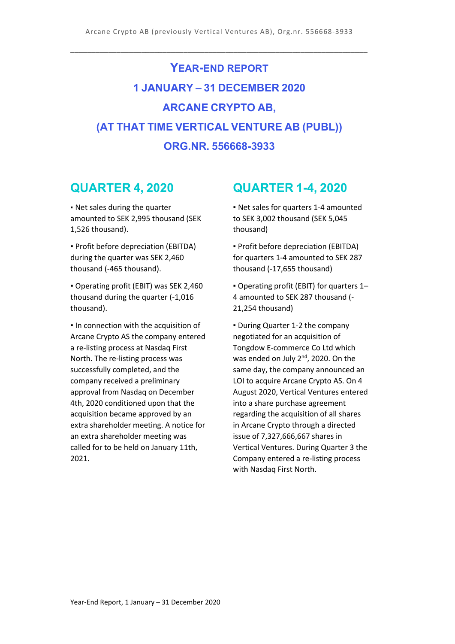## **YEAR-END REPORT 1 JANUARY – 31 DECEMBER 2020 ARCANE CRYPTO AB, (AT THAT TIME VERTICAL VENTURE AB (PUBL)) ORG.NR. 556668-3933**

## **QUARTER 4, 2020**

▪ Net sales during the quarter amounted to SEK 2,995 thousand (SEK 1,526 thousand).

▪ Profit before depreciation (EBITDA) during the quarter was SEK 2,460 thousand (-465 thousand).

▪ Operating profit (EBIT) was SEK 2,460 thousand during the quarter (-1,016 thousand).

▪ In connection with the acquisition of Arcane Crypto AS the company entered a re-listing process at Nasdaq First North. The re-listing process was successfully completed, and the company received a preliminary approval from Nasdaq on December 4th, 2020 conditioned upon that the acquisition became approved by an extra shareholder meeting. A notice for an extra shareholder meeting was called for to be held on January 11th, 2021.

## **QUARTER 1-4, 2020**

▪ Net sales for quarters 1-4 amounted to SEK 3,002 thousand (SEK 5,045 thousand)

▪ Profit before depreciation (EBITDA) for quarters 1-4 amounted to SEK 287 thousand (-17,655 thousand)

▪ Operating profit (EBIT) for quarters 1– 4 amounted to SEK 287 thousand (- 21,254 thousand)

▪ During Quarter 1-2 the company negotiated for an acquisition of Tongdow E-commerce Co Ltd which was ended on July 2<sup>nd</sup>, 2020. On the same day, the company announced an LOI to acquire Arcane Crypto AS. On 4 August 2020, Vertical Ventures entered into a share purchase agreement regarding the acquisition of all shares in Arcane Crypto through a directed issue of 7,327,666,667 shares in Vertical Ventures. During Quarter 3 the Company entered a re-listing process with Nasdaq First North.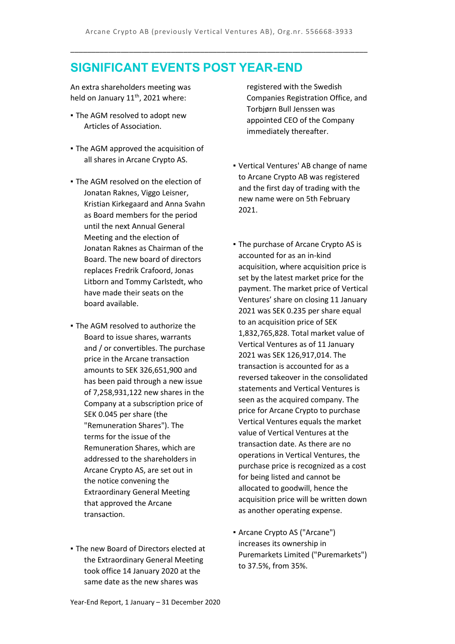## **SIGNIFICANT EVENTS POST YEAR-END**

An extra shareholders meeting was held on January  $11<sup>th</sup>$ , 2021 where:

- The AGM resolved to adopt new Articles of Association.
- **The AGM approved the acquisition of** all shares in Arcane Crypto AS.
- The AGM resolved on the election of Jonatan Raknes, Viggo Leisner, Kristian Kirkegaard and Anna Svahn as Board members for the period until the next Annual General Meeting and the election of Jonatan Raknes as Chairman of the Board. The new board of directors replaces Fredrik Crafoord, Jonas Litborn and Tommy Carlstedt, who have made their seats on the board available.
- The AGM resolved to authorize the Board to issue shares, warrants and / or convertibles. The purchase price in the Arcane transaction amounts to SEK 326,651,900 and has been paid through a new issue of 7,258,931,122 new shares in the Company at a subscription price of SEK 0.045 per share (the "Remuneration Shares"). The terms for the issue of the Remuneration Shares, which are addressed to the shareholders in Arcane Crypto AS, are set out in the notice convening the Extraordinary General Meeting that approved the Arcane transaction.
- **The new Board of Directors elected at** the Extraordinary General Meeting took office 14 January 2020 at the same date as the new shares was

registered with the Swedish Companies Registration Office, and Torbjørn Bull Jenssen was appointed CEO of the Company immediately thereafter.

- Vertical Ventures' AB change of name to Arcane Crypto AB was registered and the first day of trading with the new name were on 5th February 2021.
- The purchase of Arcane Crypto AS is accounted for as an in-kind acquisition, where acquisition price is set by the latest market price for the payment. The market price of Vertical Ventures' share on closing 11 January 2021 was SEK 0.235 per share equal to an acquisition price of SEK 1,832,765,828. Total market value of Vertical Ventures as of 11 January 2021 was SEK 126,917,014. The transaction is accounted for as a reversed takeover in the consolidated statements and Vertical Ventures is seen as the acquired company. The price for Arcane Crypto to purchase Vertical Ventures equals the market value of Vertical Ventures at the transaction date. As there are no operations in Vertical Ventures, the purchase price is recognized as a cost for being listed and cannot be allocated to goodwill, hence the acquisition price will be written down as another operating expense.
- Arcane Crypto AS ("Arcane") increases its ownership in Puremarkets Limited ("Puremarkets") to 37.5%, from 35%.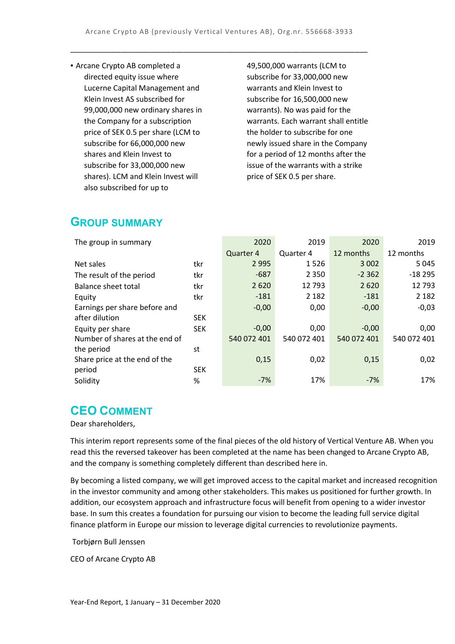▪ Arcane Crypto AB completed a directed equity issue where Lucerne Capital Management and Klein Invest AS subscribed for 99,000,000 new ordinary shares in the Company for a subscription price of SEK 0.5 per share (LCM to subscribe for 66,000,000 new shares and Klein Invest to subscribe for 33,000,000 new shares). LCM and Klein Invest will also subscribed for up to

49,500,000 warrants (LCM to subscribe for 33,000,000 new warrants and Klein Invest to subscribe for 16,500,000 new warrants). No was paid for the warrants. Each warrant shall entitle the holder to subscribe for one newly issued share in the Company for a period of 12 months after the issue of the warrants with a strike price of SEK 0.5 per share.

## **GROUP SUMMARY**

| The group in summary           |            | 2020        | 2019        | 2020        | 2019        |
|--------------------------------|------------|-------------|-------------|-------------|-------------|
|                                |            | Quarter 4   | Quarter 4   | 12 months   | 12 months   |
| Net sales                      | tkr        | 2 9 9 5     | 1526        | 3 0 0 2     | 5 0 4 5     |
| The result of the period       | tkr        | $-687$      | 2 3 5 0     | $-2.362$    | $-18295$    |
| <b>Balance sheet total</b>     | tkr        | 2 6 2 0     | 12 793      | 2620        | 12793       |
| Equity                         | tkr        | $-181$      | 2 1 8 2     | $-181$      | 2 1 8 2     |
| Earnings per share before and  |            | $-0,00$     | 0,00        | $-0,00$     | $-0,03$     |
| after dilution                 | <b>SEK</b> |             |             |             |             |
| Equity per share               | <b>SEK</b> | $-0,00$     | 0,00        | $-0,00$     | 0,00        |
| Number of shares at the end of |            | 540 072 401 | 540 072 401 | 540 072 401 | 540 072 401 |
| the period                     | st         |             |             |             |             |
| Share price at the end of the  |            | 0,15        | 0,02        | 0,15        | 0,02        |
| period                         | <b>SEK</b> |             |             |             |             |
| Solidity                       | %          | $-7%$       | 17%         | $-7%$       | 17%         |

## **CEO COMMENT**

Dear shareholders,

This interim report represents some of the final pieces of the old history of Vertical Venture AB. When you read this the reversed takeover has been completed at the name has been changed to Arcane Crypto AB, and the company is something completely different than described here in.

By becoming a listed company, we will get improved access to the capital market and increased recognition in the investor community and among other stakeholders. This makes us positioned for further growth. In addition, our ecosystem approach and infrastructure focus will benefit from opening to a wider investor base. In sum this creates a foundation for pursuing our vision to become the leading full service digital finance platform in Europe our mission to leverage digital currencies to revolutionize payments.

Torbjørn Bull Jenssen

CEO of Arcane Crypto AB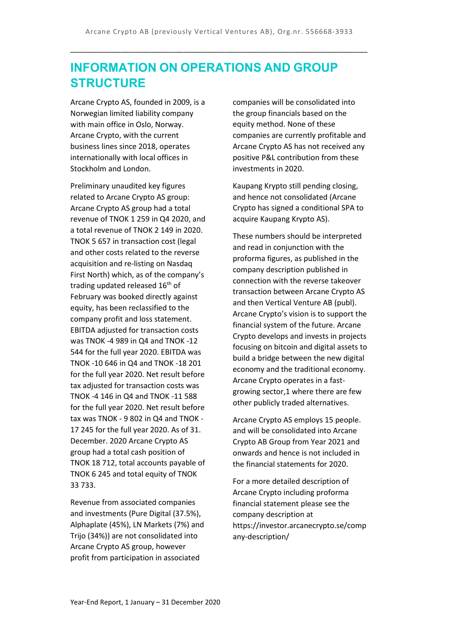## **INFORMATION ON OPERATIONS AND GROUP STRUCTURE**

Arcane Crypto AS, founded in 2009, is a Norwegian limited liability company with main office in Oslo, Norway. Arcane Crypto, with the current business lines since 2018, operates internationally with local offices in Stockholm and London.

Preliminary unaudited key figures related to Arcane Crypto AS group: Arcane Crypto AS group had a total revenue of TNOK 1 259 in Q4 2020, and a total revenue of TNOK 2 149 in 2020. TNOK 5 657 in transaction cost (legal and other costs related to the reverse acquisition and re-listing on Nasdaq First North) which, as of the company's trading updated released 16<sup>th</sup> of February was booked directly against equity, has been reclassified to the company profit and loss statement. EBITDA adjusted for transaction costs was TNOK -4 989 in Q4 and TNOK -12 544 for the full year 2020. EBITDA was TNOK -10 646 in Q4 and TNOK -18 201 for the full year 2020. Net result before tax adjusted for transaction costs was TNOK -4 146 in Q4 and TNOK -11 588 for the full year 2020. Net result before tax was TNOK - 9 802 in Q4 and TNOK - 17 245 for the full year 2020. As of 31. December. 2020 Arcane Crypto AS group had a total cash position of TNOK 18 712, total accounts payable of TNOK 6 245 and total equity of TNOK 33 733.

Revenue from associated companies and investments (Pure Digital (37.5%), Alphaplate (45%), LN Markets (7%) and Trijo (34%)) are not consolidated into Arcane Crypto AS group, however profit from participation in associated

companies will be consolidated into the group financials based on the equity method. None of these companies are currently profitable and Arcane Crypto AS has not received any positive P&L contribution from these investments in 2020.

Kaupang Krypto still pending closing, and hence not consolidated (Arcane Crypto has signed a conditional SPA to acquire Kaupang Krypto AS).

These numbers should be interpreted and read in conjunction with the proforma figures, as published in the company description published in connection with the reverse takeover transaction between Arcane Crypto AS and then Vertical Venture AB (publ). Arcane Crypto's vision is to support the financial system of the future. Arcane Crypto develops and invests in projects focusing on bitcoin and digital assets to build a bridge between the new digital economy and the traditional economy. Arcane Crypto operates in a fastgrowing sector,1 where there are few other publicly traded alternatives.

Arcane Crypto AS employs 15 people. and will be consolidated into Arcane Crypto AB Group from Year 2021 and onwards and hence is not included in the financial statements for 2020.

For a more detailed description of Arcane Crypto including proforma financial statement please see the company description at https://investor.arcanecrypto.se/comp any-description/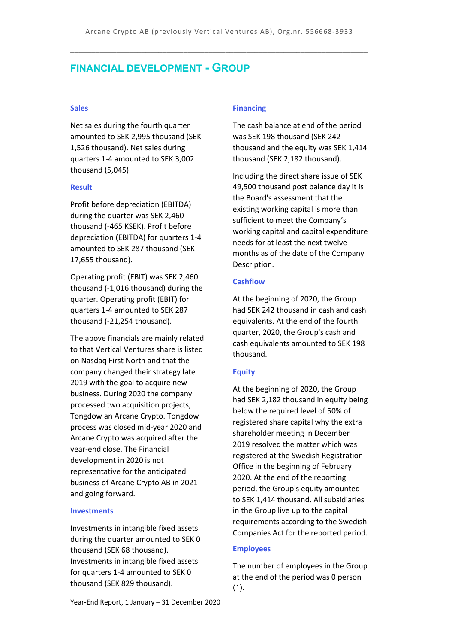### **FINANCIAL DEVELOPMENT - GROUP**

#### **Sales**

Net sales during the fourth quarter amounted to SEK 2,995 thousand (SEK 1,526 thousand). Net sales during quarters 1-4 amounted to SEK 3,002 thousand (5,045).

#### **Result**

Profit before depreciation (EBITDA) during the quarter was SEK 2,460 thousand (-465 KSEK). Profit before depreciation (EBITDA) for quarters 1-4 amounted to SEK 287 thousand (SEK - 17,655 thousand).

Operating profit (EBIT) was SEK 2,460 thousand (-1,016 thousand) during the quarter. Operating profit (EBIT) for quarters 1-4 amounted to SEK 287 thousand (-21,254 thousand).

The above financials are mainly related to that Vertical Ventures share is listed on Nasdaq First North and that the company changed their strategy late 2019 with the goal to acquire new business. During 2020 the company processed two acquisition projects, Tongdow an Arcane Crypto. Tongdow process was closed mid-year 2020 and Arcane Crypto was acquired after the year-end close. The Financial development in 2020 is not representative for the anticipated business of Arcane Crypto AB in 2021 and going forward.

#### **Investments**

Investments in intangible fixed assets during the quarter amounted to SEK 0 thousand (SEK 68 thousand). Investments in intangible fixed assets for quarters 1-4 amounted to SEK 0 thousand (SEK 829 thousand).

#### **Financing**

The cash balance at end of the period was SEK 198 thousand (SEK 242 thousand and the equity was SEK 1,414 thousand (SEK 2,182 thousand).

Including the direct share issue of SEK 49,500 thousand post balance day it is the Board's assessment that the existing working capital is more than sufficient to meet the Company's working capital and capital expenditure needs for at least the next twelve months as of the date of the Company Description.

#### **Cashflow**

At the beginning of 2020, the Group had SEK 242 thousand in cash and cash equivalents. At the end of the fourth quarter, 2020, the Group's cash and cash equivalents amounted to SEK 198 thousand.

#### **Equity**

At the beginning of 2020, the Group had SEK 2,182 thousand in equity being below the required level of 50% of registered share capital why the extra shareholder meeting in December 2019 resolved the matter which was registered at the Swedish Registration Office in the beginning of February 2020. At the end of the reporting period, the Group's equity amounted to SEK 1,414 thousand. All subsidiaries in the Group live up to the capital requirements according to the Swedish Companies Act for the reported period.

#### **Employees**

The number of employees in the Group at the end of the period was 0 person  $(1)$ .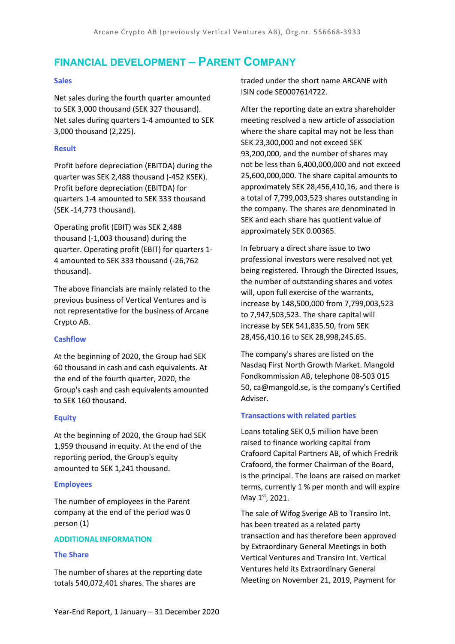## **FINANCIAL DEVELOPMENT – PARENT COMPANY**

#### **Sales**

Net sales during the fourth quarter amounted to SEK 3,000 thousand (SEK 327 thousand). Net sales during quarters 1-4 amounted to SEK 3,000 thousand (2,225).

#### **Result**

Profit before depreciation (EBITDA) during the quarter was SEK 2,488 thousand (-452 KSEK). Profit before depreciation (EBITDA) for quarters 1-4 amounted to SEK 333 thousand (SEK -14,773 thousand).

Operating profit (EBIT) was SEK 2,488 thousand (-1,003 thousand) during the quarter. Operating profit (EBIT) for quarters 1- 4 amounted to SEK 333 thousand (-26,762 thousand).

The above financials are mainly related to the previous business of Vertical Ventures and is not representative for the business of Arcane Crypto AB.

#### **Cashflow**

At the beginning of 2020, the Group had SEK 60 thousand in cash and cash equivalents. At the end of the fourth quarter, 2020, the Group's cash and cash equivalents amounted to SEK 160 thousand.

#### **Equity**

At the beginning of 2020, the Group had SEK 1,959 thousand in equity. At the end of the reporting period, the Group's equity amounted to SEK 1,241 thousand.

#### **Employees**

The number of employees in the Parent company at the end of the period was 0 person (1)

#### **ADDITIONAL INFORMATION**

#### **The Share**

The number of shares at the reporting date totals 540,072,401 shares. The shares are

traded under the short name ARCANE with ISIN code SE0007614722.

After the reporting date an extra shareholder meeting resolved a new article of association where the share capital may not be less than SEK 23,300,000 and not exceed SEK 93,200,000, and the number of shares may not be less than 6,400,000,000 and not exceed 25,600,000,000. The share capital amounts to approximately SEK 28,456,410,16, and there is a total of 7,799,003,523 shares outstanding in the company. The shares are denominated in SEK and each share has quotient value of approximately SEK 0.00365.

In february a direct share issue to two professional investors were resolved not yet being registered. Through the Directed Issues, the number of outstanding shares and votes will, upon full exercise of the warrants, increase by 148,500,000 from 7,799,003,523 to 7,947,503,523. The share capital will increase by SEK 541,835.50, from SEK 28,456,410.16 to SEK 28,998,245.65.

The company's shares are listed on the Nasdaq First North Growth Market. Mangold Fondkommission AB, telephone 08-503 015 50, ca@mangold.se, is the company's Certified Adviser.

#### **Transactions with related parties**

Loans totaling SEK 0,5 million have been raised to finance working capital from Crafoord Capital Partners AB, of which Fredrik Crafoord, the former Chairman of the Board, is the principal. The loans are raised on market terms, currently 1 % per month and will expire May 1st, 2021.

The sale of Wifog Sverige AB to Transiro Int. has been treated as a related party transaction and has therefore been approved by Extraordinary General Meetings in both Vertical Ventures and Transiro Int. Vertical Ventures held its Extraordinary General Meeting on November 21, 2019, Payment for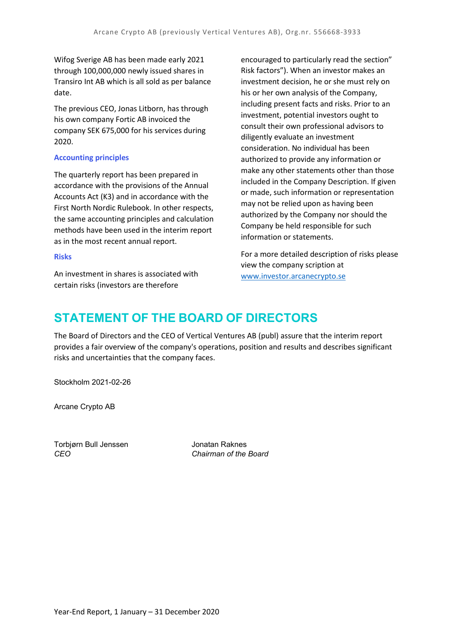Wifog Sverige AB has been made early 2021 through 100,000,000 newly issued shares in Transiro Int AB which is all sold as per balance date.

The previous CEO, Jonas Litborn, has through his own company Fortic AB invoiced the company SEK 675,000 for his services during 2020.

#### **Accounting principles**

The quarterly report has been prepared in accordance with the provisions of the Annual Accounts Act (K3) and in accordance with the First North Nordic Rulebook. In other respects, the same accounting principles and calculation methods have been used in the interim report as in the most recent annual report.

#### **Risks**

An investment in shares is associated with certain risks (investors are therefore

encouraged to particularly read the section" Risk factors"). When an investor makes an investment decision, he or she must rely on his or her own analysis of the Company, including present facts and risks. Prior to an investment, potential investors ought to consult their own professional advisors to diligently evaluate an investment consideration. No individual has been authorized to provide any information or make any other statements other than those included in the Company Description. If given or made, such information or representation may not be relied upon as having been authorized by the Company nor should the Company be held responsible for such information or statements.

For a more detailed description of risks please view the company scription at [www.investor.arcanecrypto.se](http://www.investor.arcanecrypto.se/)

## **STATEMENT OF THE BOARD OF DIRECTORS**

The Board of Directors and the CEO of Vertical Ventures AB (publ) assure that the interim report provides a fair overview of the company's operations, position and results and describes significant risks and uncertainties that the company faces.

Stockholm 2021-02-26

Arcane Crypto AB

Torbjørn Bull Jenssen Jonatan Raknes

*CEO Chairman of the Board*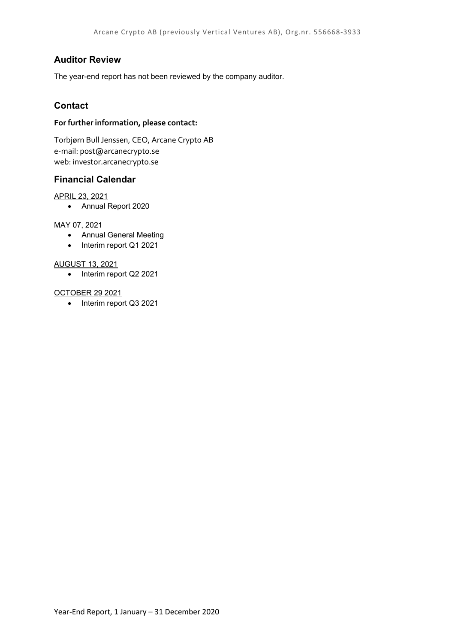#### **Auditor Review**

The year-end report has not been reviewed by the company auditor.

#### **Contact**

#### **For further information, please contact:**

Torbjørn Bull Jenssen, CEO, Arcane Crypto AB e-mail: post@arcanecrypto.se web: investor.arcanecrypto.se

#### **Financial Calendar**

#### APRIL 23, 2021

• Annual Report 2020

#### MAY 07, 2021

- Annual General Meeting
- Interim report Q1 2021

#### AUGUST 13, 2021

• Interim report Q2 2021

#### OCTOBER 29 2021

• Interim report Q3 2021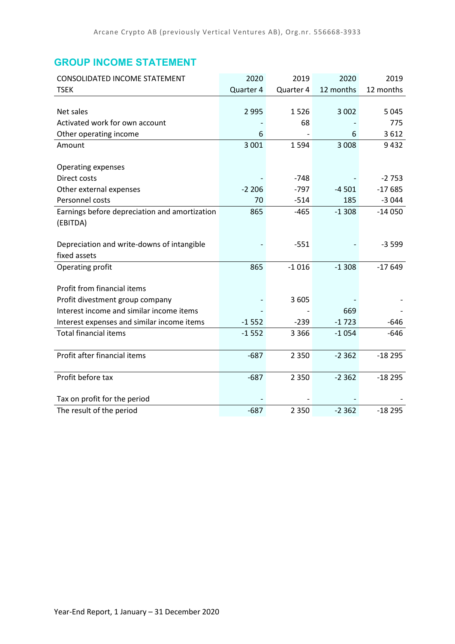## **GROUP INCOME STATEMENT**

| CONSOLIDATED INCOME STATEMENT                 | 2020      | 2019      | 2020      | 2019      |
|-----------------------------------------------|-----------|-----------|-----------|-----------|
| <b>TSEK</b>                                   | Quarter 4 | Quarter 4 | 12 months | 12 months |
|                                               |           |           |           |           |
| Net sales                                     | 2 9 9 5   | 1526      | 3 0 0 2   | 5 0 4 5   |
| Activated work for own account                |           | 68        |           | 775       |
| Other operating income                        | 6         |           | 6         | 3612      |
| Amount                                        | 3 0 0 1   | 1594      | 3 0 0 8   | 9432      |
|                                               |           |           |           |           |
| <b>Operating expenses</b>                     |           |           |           |           |
| Direct costs                                  |           | $-748$    |           | $-2753$   |
| Other external expenses                       | $-2206$   | $-797$    | $-4501$   | $-17685$  |
| Personnel costs                               | 70        | $-514$    | 185       | $-3044$   |
| Earnings before depreciation and amortization | 865       | $-465$    | $-1308$   | $-14050$  |
| (EBITDA)                                      |           |           |           |           |
|                                               |           |           |           |           |
| Depreciation and write-downs of intangible    |           | $-551$    |           | $-3599$   |
| fixed assets                                  |           |           |           |           |
| Operating profit                              | 865       | $-1016$   | $-1308$   | $-17649$  |
|                                               |           |           |           |           |
| Profit from financial items                   |           |           |           |           |
| Profit divestment group company               |           | 3 6 0 5   |           |           |
| Interest income and similar income items      |           |           | 669       |           |
| Interest expenses and similar income items    | $-1552$   | $-239$    | $-1723$   | $-646$    |
| <b>Total financial items</b>                  | $-1552$   | 3 3 6 6   | $-1054$   | $-646$    |
|                                               |           |           |           |           |
| Profit after financial items                  | $-687$    | 2 3 5 0   | $-2362$   | $-18295$  |
|                                               |           |           |           |           |
| Profit before tax                             | $-687$    | 2 3 5 0   | $-2362$   | $-18295$  |
|                                               |           |           |           |           |
| Tax on profit for the period                  |           |           |           |           |
| The result of the period                      | $-687$    | 2 3 5 0   | $-2362$   | $-18295$  |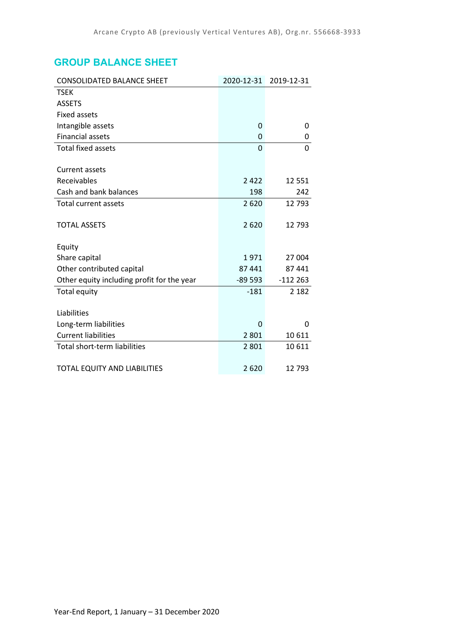## **GROUP BALANCE SHEET**

| <b>CONSOLIDATED BALANCE SHEET</b>          | 2020-12-31 | 2019-12-31 |
|--------------------------------------------|------------|------------|
| <b>TSEK</b>                                |            |            |
| <b>ASSETS</b>                              |            |            |
| <b>Fixed assets</b>                        |            |            |
| Intangible assets                          | 0          | 0          |
| <b>Financial assets</b>                    | 0          | 0          |
| <b>Total fixed assets</b>                  | $\Omega$   | 0          |
|                                            |            |            |
| <b>Current assets</b>                      |            |            |
| Receivables                                | 2422       | 12 5 5 1   |
| Cash and bank balances                     | 198        | 242        |
| <b>Total current assets</b>                | 2620       | 12793      |
|                                            |            |            |
| <b>TOTAL ASSETS</b>                        | 2620       | 12793      |
|                                            |            |            |
| Equity                                     |            |            |
| Share capital                              | 1971       | 27 004     |
| Other contributed capital                  | 87 441     | 87 441     |
| Other equity including profit for the year | $-89593$   | $-112263$  |
| Total equity                               | $-181$     | 2 1 8 2    |
|                                            |            |            |
| Liabilities                                |            |            |
| Long-term liabilities                      | 0          | 0          |
| <b>Current liabilities</b>                 | 2 8 0 1    | 10611      |
| Total short-term liabilities               | 2 8 0 1    | 10 611     |
|                                            |            |            |
| TOTAL EQUITY AND LIABILITIES               | 2620       | 12793      |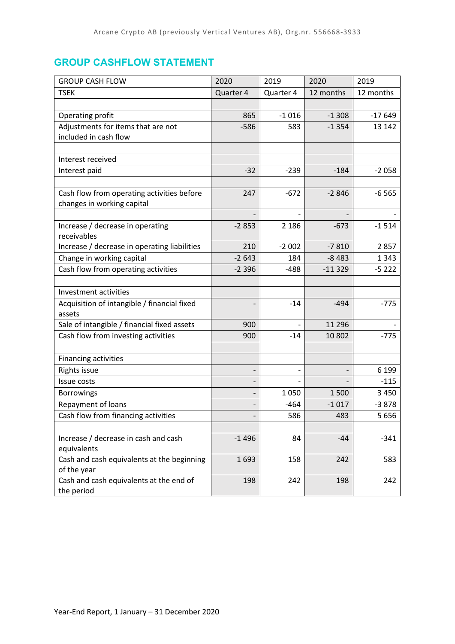## **GROUP CASHFLOW STATEMENT**

| <b>GROUP CASH FLOW</b>                       | 2020      | 2019      | 2020      | 2019      |
|----------------------------------------------|-----------|-----------|-----------|-----------|
| <b>TSEK</b>                                  | Quarter 4 | Quarter 4 | 12 months | 12 months |
|                                              |           |           |           |           |
| Operating profit                             | 865       | $-1016$   | $-1308$   | $-17649$  |
| Adjustments for items that are not           | $-586$    | 583       | $-1354$   | 13 142    |
| included in cash flow                        |           |           |           |           |
|                                              |           |           |           |           |
| Interest received                            |           |           |           |           |
| Interest paid                                | $-32$     | $-239$    | $-184$    | $-2058$   |
|                                              |           |           |           |           |
| Cash flow from operating activities before   | 247       | $-672$    | $-2846$   | $-6565$   |
| changes in working capital                   |           |           |           |           |
|                                              |           |           |           |           |
| Increase / decrease in operating             | $-2853$   | 2 1 8 6   | $-673$    | $-1514$   |
| receivables                                  |           |           |           |           |
| Increase / decrease in operating liabilities | 210       | $-2002$   | $-7810$   | 2857      |
| Change in working capital                    | $-2643$   | 184       | $-8483$   | 1 3 4 3   |
| Cash flow from operating activities          | $-2396$   | $-488$    | $-11329$  | $-5222$   |
|                                              |           |           |           |           |
| Investment activities                        |           |           |           |           |
| Acquisition of intangible / financial fixed  |           | $-14$     | $-494$    | $-775$    |
| assets                                       |           |           |           |           |
| Sale of intangible / financial fixed assets  | 900       |           | 11 296    |           |
| Cash flow from investing activities          | 900       | $-14$     | 10 802    | $-775$    |
|                                              |           |           |           |           |
| Financing activities                         |           |           |           |           |
| Rights issue                                 |           |           |           | 6 1 9 9   |
| Issue costs                                  |           |           |           | $-115$    |
| <b>Borrowings</b>                            |           | 1050      | 1500      | 3 4 5 0   |
| Repayment of loans                           |           | -464      | $-1017$   | $-3878$   |
| Cash flow from financing activities          |           | 586       | 483       | 5656      |
|                                              |           |           |           |           |
| Increase / decrease in cash and cash         | $-1496$   | 84        | $-44$     | $-341$    |
| equivalents                                  |           |           |           |           |
| Cash and cash equivalents at the beginning   | 1693      | 158       | 242       | 583       |
| of the year                                  |           |           |           |           |
| Cash and cash equivalents at the end of      | 198       | 242       | 198       | 242       |
| the period                                   |           |           |           |           |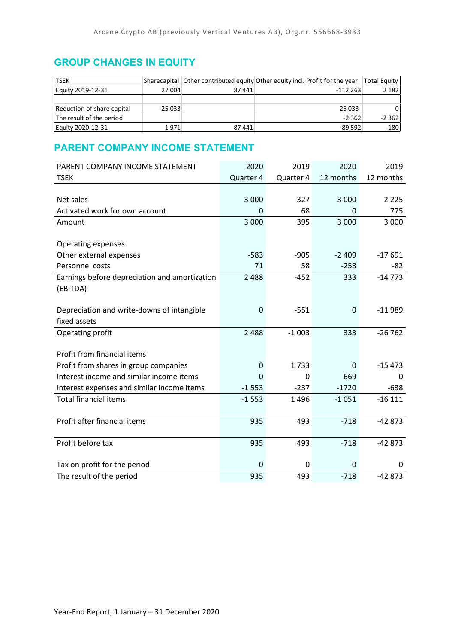## **GROUP CHANGES IN EQUITY**

| <b>TSEK</b>                |          |       | Sharecapital Other contributed equity Other equity incl. Profit for the year | Total Equity |
|----------------------------|----------|-------|------------------------------------------------------------------------------|--------------|
| Equity 2019-12-31          | 27 004   | 87441 | $-112263$                                                                    | 2 1 8 2      |
|                            |          |       |                                                                              |              |
| Reduction of share capital | $-25033$ |       | 25 033                                                                       | ΟI           |
| The result of the period   |          |       | $-2.362$                                                                     | $-2362$      |
| Equity 2020-12-31          | 1971     | 87441 | -89 592                                                                      | $-180$       |

## **PARENT COMPANY INCOME STATEMENT**

| PARENT COMPANY INCOME STATEMENT               | 2020      | 2019      | 2020      | 2019         |
|-----------------------------------------------|-----------|-----------|-----------|--------------|
| <b>TSEK</b>                                   | Quarter 4 | Quarter 4 | 12 months | 12 months    |
|                                               |           |           |           |              |
| Net sales                                     | 3 0 0 0   | 327       | 3 0 0 0   | 2 2 2 5      |
| Activated work for own account                | 0         | 68        | 0         | 775          |
| Amount                                        | 3 0 0 0   | 395       | 3 000     | 3 0 0 0      |
|                                               |           |           |           |              |
| Operating expenses                            |           |           |           |              |
| Other external expenses                       | $-583$    | $-905$    | $-2409$   | $-17691$     |
| Personnel costs                               | 71        | 58        | $-258$    | -82          |
| Earnings before depreciation and amortization | 2 4 8 8   | $-452$    | 333       | $-14773$     |
| (EBITDA)                                      |           |           |           |              |
|                                               |           |           |           |              |
| Depreciation and write-downs of intangible    | 0         | $-551$    | 0         | $-11989$     |
| fixed assets                                  |           |           |           |              |
| Operating profit                              | 2 4 8 8   | $-1003$   | 333       | $-26762$     |
|                                               |           |           |           |              |
| Profit from financial items                   |           |           |           |              |
| Profit from shares in group companies         | 0         | 1733      | $\Omega$  | $-15473$     |
| Interest income and similar income items      | 0         | 0         | 669       | <sup>0</sup> |
| Interest expenses and similar income items    | $-1553$   | $-237$    | $-1720$   | $-638$       |
| <b>Total financial items</b>                  | $-1553$   | 1496      | $-1051$   | $-16111$     |
|                                               |           |           |           |              |
| Profit after financial items                  | 935       | 493       | $-718$    | $-42873$     |
|                                               |           |           |           |              |
| Profit before tax                             | 935       | 493       | $-718$    | $-42873$     |
|                                               |           |           |           |              |
| Tax on profit for the period                  | 0         | 0         | 0         | 0            |
| The result of the period                      | 935       | 493       | $-718$    | $-42873$     |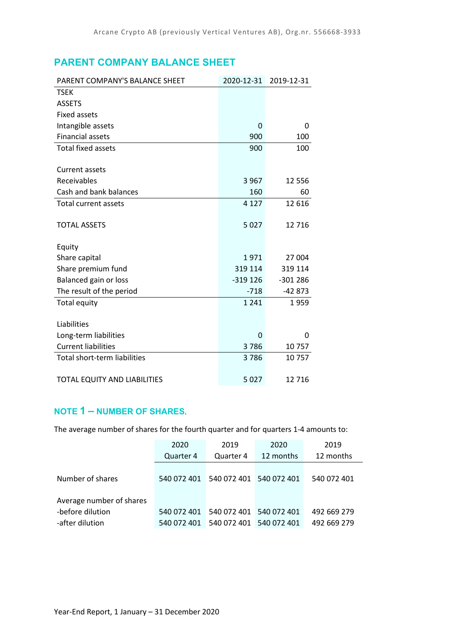## **PARENT COMPANY BALANCE SHEET**

| PARENT COMPANY'S BALANCE SHEET | 2020-12-31 | 2019-12-31 |
|--------------------------------|------------|------------|
| <b>TSEK</b>                    |            |            |
| <b>ASSETS</b>                  |            |            |
| <b>Fixed assets</b>            |            |            |
| Intangible assets              | 0          | 0          |
| <b>Financial assets</b>        | 900        | 100        |
| <b>Total fixed assets</b>      | 900        | 100        |
|                                |            |            |
| Current assets                 |            |            |
| Receivables                    | 3 9 6 7    | 12 5 5 6   |
| Cash and bank balances         | 160        | 60         |
| <b>Total current assets</b>    | 4 1 2 7    | 12 6 16    |
|                                |            |            |
| <b>TOTAL ASSETS</b>            | 5 0 2 7    | 12716      |
|                                |            |            |
| Equity                         |            |            |
| Share capital                  | 1971       | 27 004     |
| Share premium fund             | 319 114    | 319 114    |
| Balanced gain or loss          | $-319126$  | $-301286$  |
| The result of the period       | $-718$     | $-42873$   |
| Total equity                   | 1 2 4 1    | 1959       |
|                                |            |            |
| Liabilities                    |            |            |
| Long-term liabilities          | $\Omega$   | 0          |
| <b>Current liabilities</b>     | 3786       | 10757      |
| Total short-term liabilities   | 3786       | 10757      |
|                                |            |            |
| TOTAL EQUITY AND LIABILITIES   | 5 0 2 7    | 12716      |

### **NOTE 1 – NUMBER OF SHARES**.

The average number of shares for the fourth quarter and for quarters 1-4 amounts to:

|                          | 2020        | 2019        | 2020        | 2019        |
|--------------------------|-------------|-------------|-------------|-------------|
|                          | Quarter 4   | Quarter 4   | 12 months   | 12 months   |
| Number of shares         | 540 072 401 | 540 072 401 | 540 072 401 | 540 072 401 |
| Average number of shares |             |             |             |             |
| -before dilution         | 540 072 401 | 540 072 401 | 540 072 401 | 492 669 279 |
| -after dilution          | 540 072 401 | 540 072 401 | 540 072 401 | 492 669 279 |